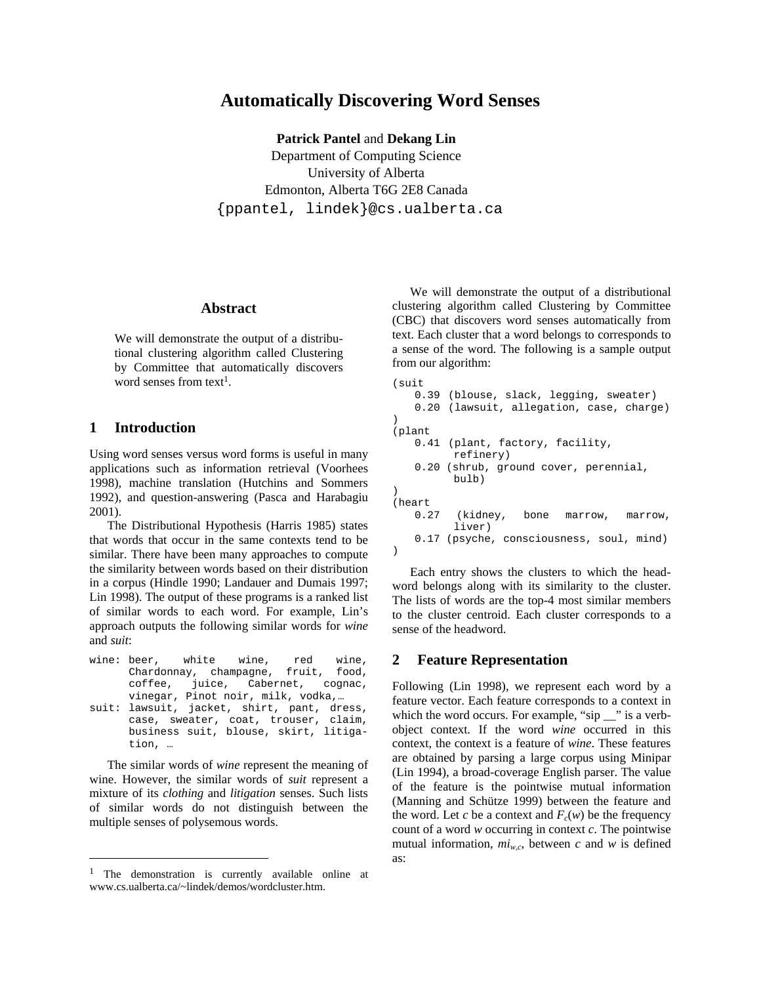# **Automatically Discovering Word Senses**

**Patrick Pantel** and **Dekang Lin** 

Department of Computing Science University of Alberta Edmonton, Alberta T6G 2E8 Canada {ppantel, lindek}@cs.ualberta.ca

#### **Abstract**

We will demonstrate the output of a distributional clustering algorithm called Clustering by Committee that automatically discovers word senses from text<sup>1</sup>.

### **1 Introduction**

l

Using word senses versus word forms is useful in many applications such as information retrieval (Voorhees 1998), machine translation (Hutchins and Sommers 1992), and question-answering (Pasca and Harabagiu 2001).

The Distributional Hypothesis (Harris 1985) states that words that occur in the same contexts tend to be similar. There have been many approaches to compute the similarity between words based on their distribution in a corpus (Hindle 1990; Landauer and Dumais 1997; Lin 1998). The output of these programs is a ranked list of similar words to each word. For example, Lin's approach outputs the following similar words for *wine* and *suit*:

wine: beer, white wine, red wine, Chardonnay, champagne, fruit, food, coffee, juice, Cabernet, cognac, vinegar, Pinot noir, milk, vodka,… suit: lawsuit, jacket, shirt, pant, dress, case, sweater, coat, trouser, claim, business suit, blouse, skirt, litigation, …

The similar words of *wine* represent the meaning of wine. However, the similar words of *suit* represent a mixture of its *clothing* and *litigation* senses. Such lists of similar words do not distinguish between the multiple senses of polysemous words.

We will demonstrate the output of a distributional clustering algorithm called Clustering by Committee (CBC) that discovers word senses automatically from text. Each cluster that a word belongs to corresponds to a sense of the word. The following is a sample output from our algorithm:

```
(suit 
    0.39 (blouse, slack, legging, sweater) 
    0.20 (lawsuit, allegation, case, charge) 
) 
(plant 
    0.41 (plant, factory, facility, 
          refinery) 
    0.20 (shrub, ground cover, perennial, 
          bulb) 
) 
(heart 
    0.27 (kidney, bone marrow, marrow, 
          liver) 
    0.17 (psyche, consciousness, soul, mind) 
)
```
Each entry shows the clusters to which the headword belongs along with its similarity to the cluster. The lists of words are the top-4 most similar members to the cluster centroid. Each cluster corresponds to a sense of the headword.

## **2 Feature Representation**

Following (Lin 1998), we represent each word by a feature vector. Each feature corresponds to a context in which the word occurs. For example, "sip \_\_" is a verbobject context. If the word *wine* occurred in this context, the context is a feature of *wine*. These features are obtained by parsing a large corpus using Minipar (Lin 1994), a broad-coverage English parser. The value of the feature is the pointwise mutual information (Manning and Schütze 1999) between the feature and the word. Let *c* be a context and  $F_c(w)$  be the frequency count of a word *w* occurring in context *c*. The pointwise mutual information,  $mi_{w.c}$ , between *c* and *w* is defined as:

<sup>&</sup>lt;sup>1</sup> The demonstration is currently available online at www.cs.ualberta.ca/~lindek/demos/wordcluster.htm.